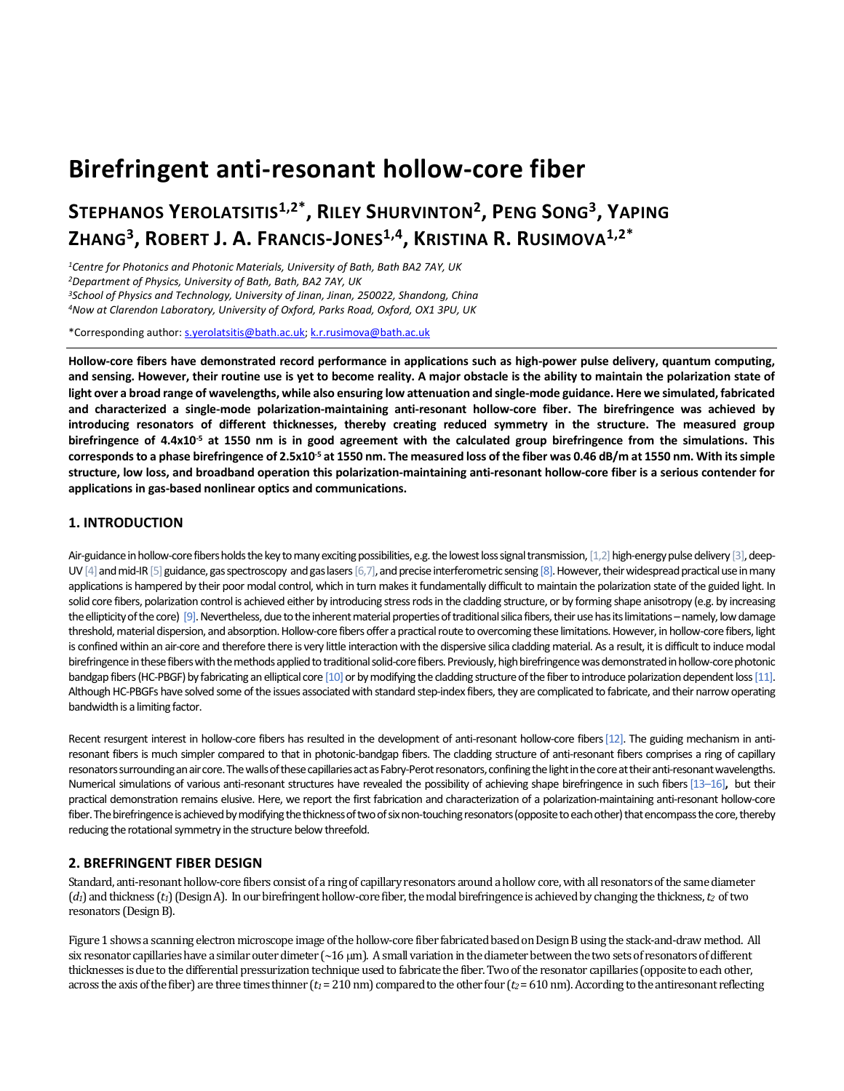# **Birefringent anti-resonant hollow-core fiber**

# **STEPHANOS YEROLATSITIS1,2\* , RILEY SHURVINTON<sup>2</sup> , PENG SONG<sup>3</sup> , YAPING ZHANG<sup>3</sup> , ROBERT J. A. FRANCIS-JONES1,4 , KRISTINA R. RUSIMOVA1,2\***

*Centre for Photonics and Photonic Materials, University of Bath, Bath BA2 7AY, UK Department of Physics, University of Bath, Bath, BA2 7AY, UK School of Physics and Technology, University of Jinan, Jinan, 250022, Shandong, China Now at Clarendon Laboratory, University of Oxford, Parks Road, Oxford, OX1 3PU, UK*

\*Corresponding author[: s.yerolatsitis@bath.ac.uk;](mailto:s.yerolatsitis@bath.ac.uk) [k.r.rusimova@bath.ac.uk](mailto:k.r.rusimova@bath.ac.uk)

**Hollow-core fibers have demonstrated record performance in applications such as high-power pulse delivery, quantum computing, and sensing. However, their routine use is yet to become reality. A major obstacle is the ability to maintain the polarization state of light over a broad range of wavelengths, while also ensuring low attenuation and single-mode guidance. Here we simulated, fabricated and characterized a single-mode polarization-maintaining anti-resonant hollow-core fiber. The birefringence was achieved by introducing resonators of different thicknesses, thereby creating reduced symmetry in the structure. The measured group birefringence of 4.4x10-5 at 1550 nm is in good agreement with the calculated group birefringence from the simulations. This corresponds to a phase birefringence of 2.5x10-5 at 1550 nm. The measured loss of the fiber was 0.46 dB/m at 1550 nm. With its simple structure, low loss, and broadband operation this polarization-maintaining anti-resonant hollow-core fiber is a serious contender for applications in gas-based nonlinear optics and communications.**

#### **1. INTRODUCTION**

Air-guidance in hollow-core fibers holds the key to many exciting possibilities, e.g. the lowest loss signal transmission, [1,2] high-energy pulse delivery [3], deep-UV  $[4]$  and mid-IR  $[5]$  guidance, gas spectroscopy and gas lasers  $[6,7]$ , and precise interferometric sensing  $[8]$ . However, their widespread practical use in many applications is hampered by their poor modal control, which in turn makes it fundamentally difficult to maintain the polarization state of the guided light. In solid core fibers, polarization control is achieved either by introducing stress rods in the cladding structure, or by forming shape anisotropy (e.g. by increasing the ellipticity of the core) [9]. Nevertheless, due to the inherent material properties of traditional silica fibers, their use has its limitations – namely, low damage threshold, material dispersion, and absorption. Hollow-core fibers offer a practical route to overcoming these limitations. However, in hollow-core fibers, light is confined within an air-core and therefore there is very little interaction with the dispersive silica cladding material. As a result, it is difficult to induce modal birefringence in these fibers with the methods applied to traditional solid-core fibers. Previously, high birefringence was demonstrated in hollow-core photonic bandgap fibers (HC-PBGF) by fabricating an elliptical core [10] or by modifying the cladding structure of the fiber to introduce polarization dependent loss [11]. Although HC-PBGFs have solved some of the issues associated with standard step-index fibers, they are complicated to fabricate, and their narrow operating bandwidth is a limiting factor.

Recent resurgent interest in hollow-core fibers has resulted in the development of anti-resonant hollow-core fibers [12]. The guiding mechanism in antiresonant fibers is much simpler compared to that in photonic-bandgap fibers. The cladding structure of anti-resonant fibers comprises a ring of capillary resonators surrounding an air core. The walls of these capillaries act as Fabry-Perot resonators, confining the light in the core at their anti-resonant wavelengths. Numerical simulations of various anti-resonant structures have revealed the possibility of achieving shape birefringence in such fibers[13–16]**,** but their practical demonstration remains elusive. Here, we report the first fabrication and characterization of a polarization-maintaining anti-resonant hollow-core fiber. The birefringence is achieved by modifying the thickness of two of six non-touching resonators (opposite to each other) that encompass the core, thereby reducing the rotational symmetry in the structure below threefold.

### **2. BREFRINGENT FIBER DESIGN**

Standard, anti-resonant hollow-core fibers consist of a ring of capillary resonators around a hollow core, with all resonators of the same diameter (*d1*) and thickness (*t1*) (Design A). In our birefringent hollow-core fiber, the modal birefringence is achieved by changing the thickness, *t2* of two resonators (Design B).

Figure 1 shows a scanning electron microscope image of the hollow-core fiber fabricated based on Design B using the stack-and-draw method. All six resonator capillaries have a similar outer dimeter  $\left($  ~16  $\mu$ m). A small variation in the diameter between the two sets of resonators of different thicknesses is due to the differential pressurization technique used to fabricate the fiber. Two of the resonator capillaries (opposite to each other, across the axis of the fiber) are three times thinner ( $t_1$  = 210 nm) compared to the other four ( $t_2$  = 610 nm). According to the antiresonant reflecting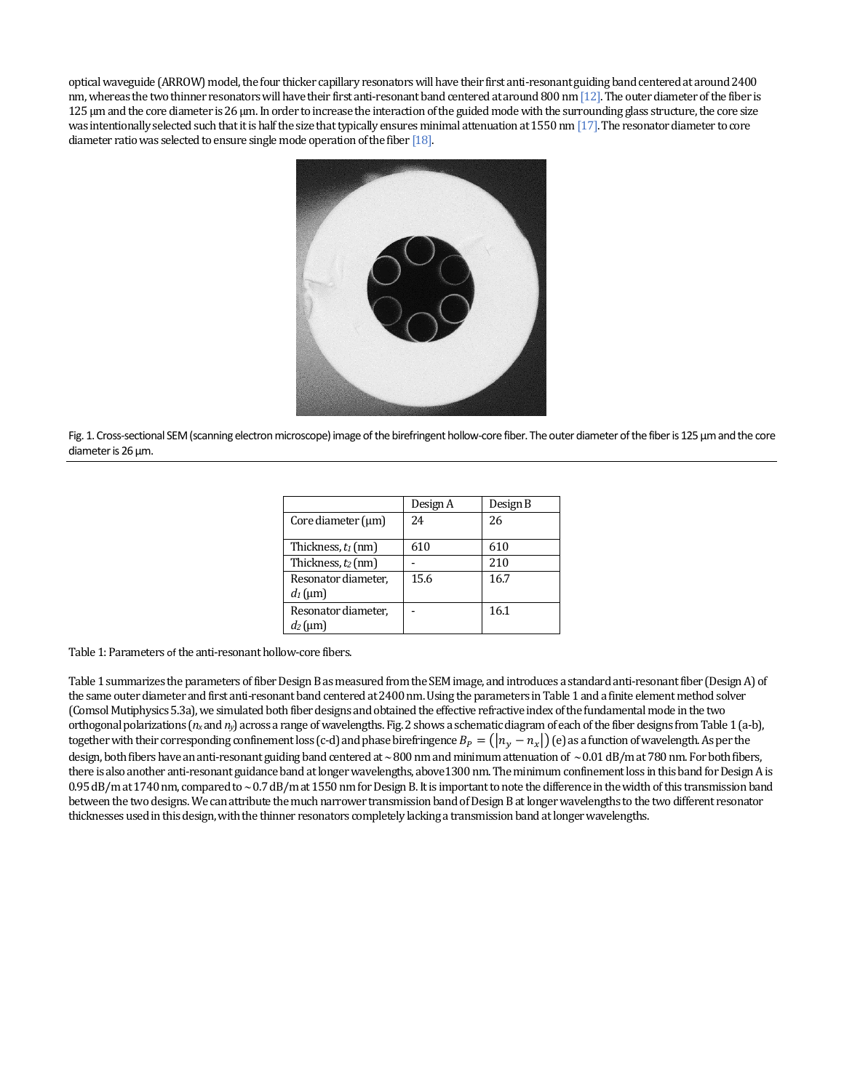optical waveguide (ARROW) model, the four thicker capillary resonators will have their first anti-resonant guiding band centered at around 2400 nm, whereas the two thinner resonators will have their first anti-resonant band centered at around 800 nm [12].The outer diameter of the fiber is 125 µm and the core diameter is 26 µm. In order to increase the interaction of the guided mode with the surrounding glass structure, the core size was intentionally selected such that it is half the size that typically ensures minimal attenuation at 1550 nm  $[17]$ . The resonator diameter to core diameter ratio was selected to ensure single mode operation of the fiber [18].



Fig. 1. Cross-sectional SEM (scanning electron microscope) image of the birefringent hollow-core fiber. The outer diameter of the fiber is 125 µm and the core diameter is 26 µm.

|                                   | Design A | Design B |
|-----------------------------------|----------|----------|
| Core diameter $(\mu m)$           | 24       | 26       |
| Thickness, $t_1$ (nm)             | 610      | 610      |
| Thickness, t2 (nm)                |          | 210      |
| Resonator diameter,<br>$d_1$ (µm) | 15.6     | 16.7     |
| Resonator diameter,<br>$d_2$ (um) |          | 16.1     |

Table 1: Parameters of the anti-resonant hollow-core fibers.

Table 1 summarizes the parameters of fiber Design B as measured from the SEM image, and introduces a standard anti-resonant fiber (Design A) of the same outer diameter and first anti-resonant band centered at 2400 nm. Using the parameters in Table 1 and a finite element method solver (Comsol Mutiphysics 5.3a), we simulated both fiber designs and obtained the effective refractive index of the fundamental mode in the two orthogonal polarizations (*n<sup>x</sup>* and *ny*) across a range of wavelengths. Fig. 2 shows a schematic diagram of each of the fiber designs from Table 1 (a-b), together with their corresponding confinement loss (c-d) and phase birefringence  $B_P = (n_v - n_x)$  (e) as a function of wavelength. As per the design, both fibers have an anti-resonant guiding band centered at ~800 nm and minimum attenuation of ~0.01 dB/m at 780 nm. For both fibers, there is also another anti-resonant guidance band at longer wavelengths, above 1300 nm. The minimum confinement loss in this band for Design A is 0.95 dB/m at 1740 nm, compared to ~0.7 dB/m at 1550 nm for Design B. It is important to note the difference in the width of this transmission band between the two designs. We can attribute the much narrower transmission band of Design B at longer wavelengths to the two different resonator thicknesses used in this design, with the thinner resonators completely lacking a transmission band at longer wavelengths.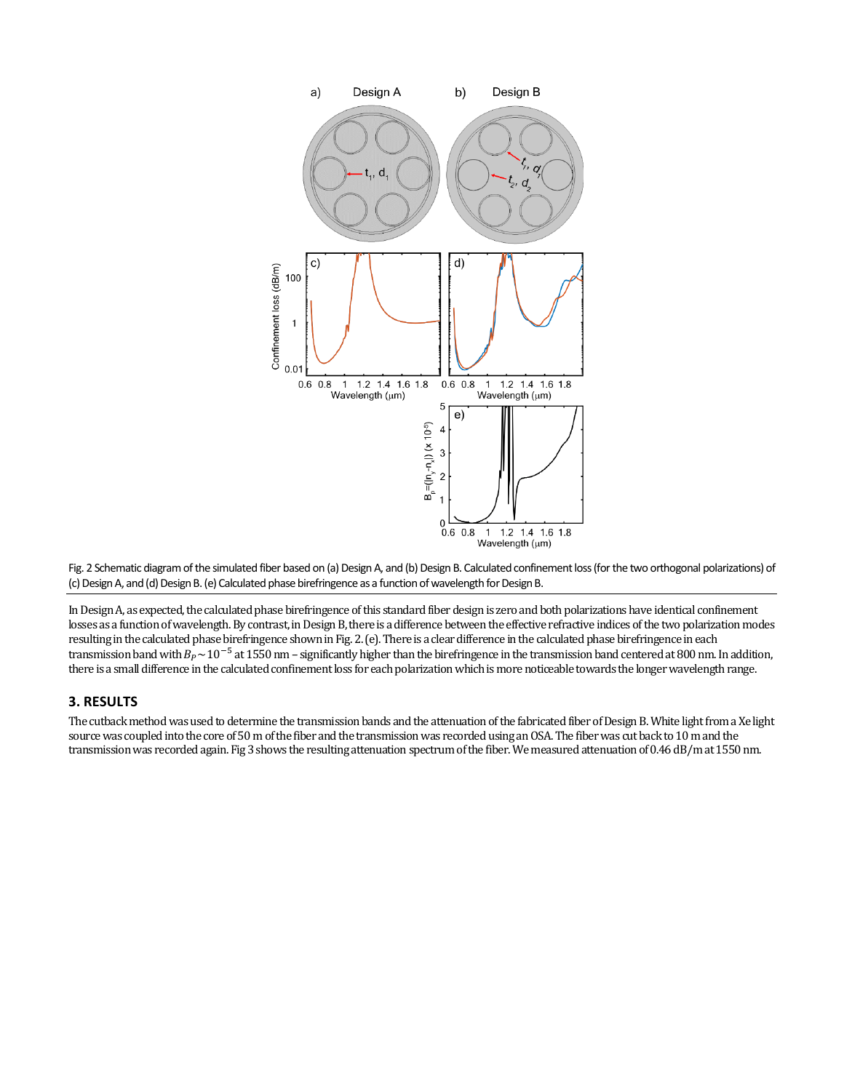



In Design A, as expected, the calculated phase birefringence of this standard fiber design is zero and both polarizations have identical confinement losses as a function of wavelength. By contrast, in Design B, there is a difference between the effective refractive indices of the two polarization modes resulting in the calculated phase birefringence shown in Fig. 2. (e). There is a clear difference in the calculated phase birefringence in each transmission band with  $B_P \sim 10^{-5}$  at 1550 nm – significantly higher than the birefringence in the transmission band centered at 800 nm. In addition, there is a small difference in the calculated confinement loss for each polarizationwhich is more noticeable towards the longer wavelength range.

#### **3. RESULTS**

The cutback method was used to determine the transmission bands and the attenuation of the fabricated fiber of Design B. White light from a Xe light source was coupled into the core of 50 m of the fiber and the transmission was recorded using an OSA. The fiber was cut back to 10 m and the transmission was recorded again. Fig 3 shows the resulting attenuation spectrum of the fiber. We measured attenuation of 0.46 dB/m at 1550 nm.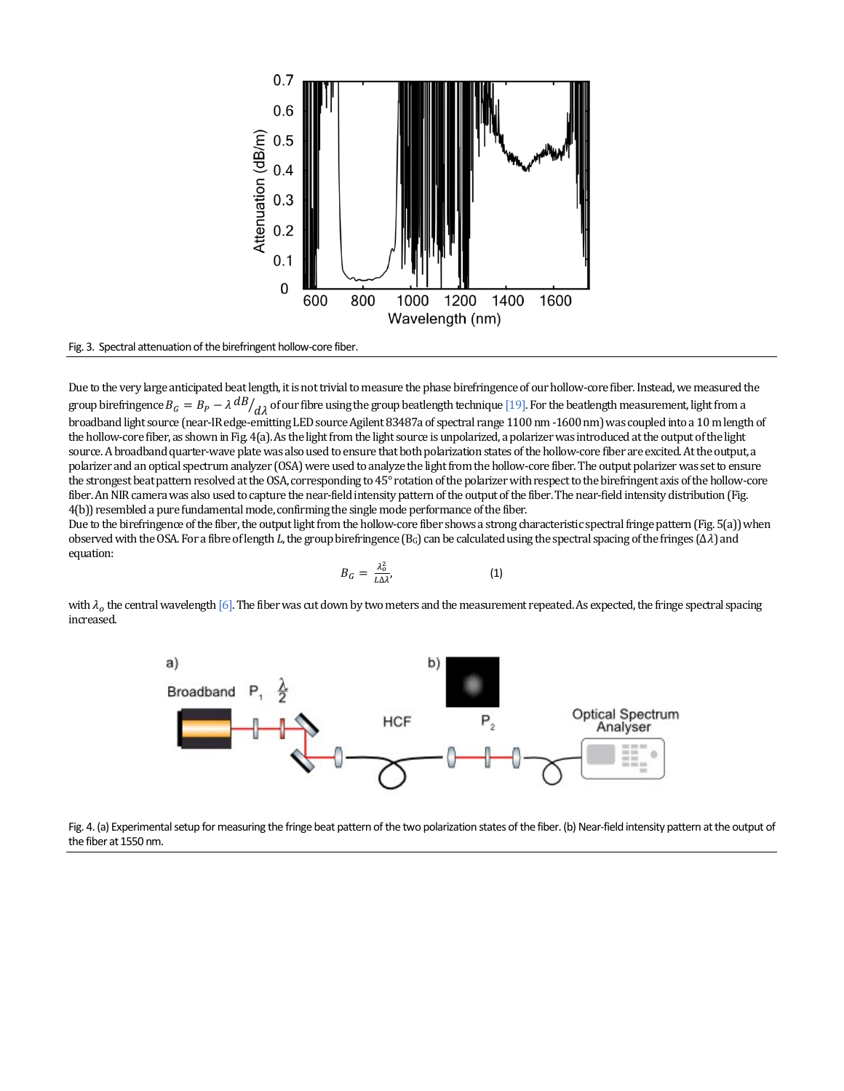

Fig. 3. Spectral attenuation of the birefringent hollow-core fiber.

Due to the very large anticipated beat length, it is not trivial to measure the phase birefringence of our hollow-core fiber. Instead, we measured the group birefringence  $B_G = B_P - \lambda \frac{dB}{d\lambda}$  of our fibre using the group beatlength technique [19]. For the beatlength measurement, light from a broadband light source (near-IR edge-emitting LED source Agilent 83487a of spectral range 1100 nm -1600 nm) was coupled into a 10 m length of the hollow-core fiber, as shown in Fig. 4(a). As the light from the light source is unpolarized, a polarizer was introduced at the output of the light source. A broadband quarter-wave plate was also used to ensure that both polarization states of the hollow-core fiber are excited. At the output, a polarizer and an optical spectrum analyzer (OSA) were used to analyze the light from the hollow-core fiber. The output polarizer was set to ensure the strongest beat pattern resolved at the OSA, corresponding to 45° rotation of the polarizer with respect to the birefringent axis of the hollow-core fiber. An NIR camera was also used to capture the near-field intensity pattern of the output of the fiber. The near-field intensity distribution (Fig. 4(b)) resembled a pure fundamental mode, confirming the single mode performance of the fiber.

Due to the birefringence of the fiber, the output light from the hollow-core fiber shows a strong characteristic spectral fringe pattern (Fig. 5(a)) when observed with the OSA. For a fibre of length *L*, the group birefringence (BG) can be calculated using the spectral spacing of the fringes (∆) and equation:

$$
B_G = \frac{\lambda_0^2}{L \Delta \lambda'},\tag{1}
$$

with  $\lambda_0$  the central wavelength [6]. The fiber was cut down by two meters and the measurement repeated. As expected, the fringe spectral spacing increased.



Fig. 4. (a) Experimental setup for measuring the fringe beat pattern of the two polarization states of the fiber. (b) Near-field intensity pattern at the output of the fiber at 1550 nm.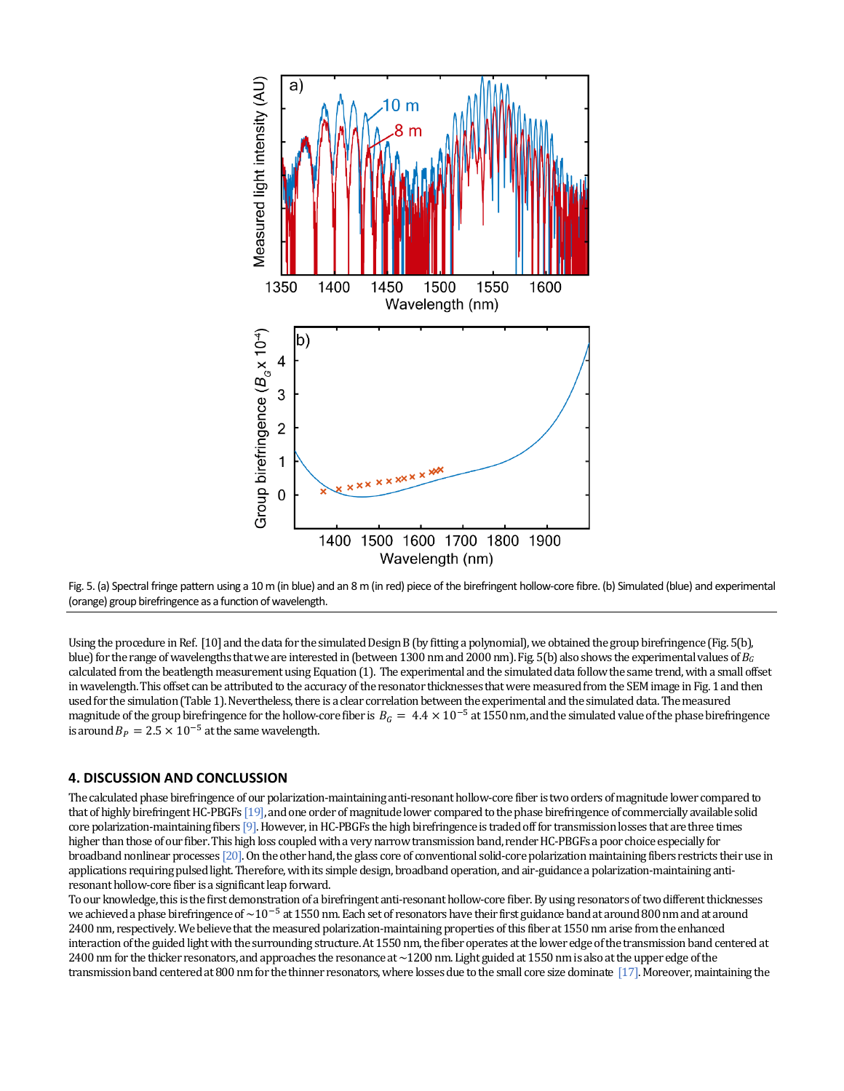



Using the procedure in Ref. [10] and the data for the simulated Design B (by fitting a polynomial), we obtained the group birefringence (Fig. 5(b), blue) for the range of wavelengths that we are interested in (between 1300 nm and 2000 nm). Fig. 5(b) also shows the experimental values of *B<sup>G</sup>* calculated from the beatlength measurement using Equation (1). The experimental and the simulated data follow the same trend, with a small offset in wavelength. This offset can be attributed to the accuracy of the resonator thicknesses that were measured from the SEM image in Fig. 1 and then used for the simulation (Table 1). Nevertheless, there is a clear correlation between the experimental and the simulated data. The measured magnitude of the group birefringence for the hollow-core fiber is  $B_G = 4.4 \times 10^{-5}$  at 1550 nm, and the simulated value of the phase birefringence is around  $B_p = 2.5 \times 10^{-5}$  at the same wavelength.

#### **4. DISCUSSION AND CONCLUSSION**

The calculated phase birefringence of our polarization-maintaining anti-resonant hollow-core fiber is two orders of magnitude lower compared to that of highly birefringent HC-PBGFs [19], and one order of magnitude lower compared to the phase birefringence of commercially available solid core polarization-maintaining fibers [9]. However, in HC-PBGFs the high birefringence is traded off for transmission losses that are three times higher than those of our fiber. This high loss coupled with a very narrow transmission band, render HC-PBGFs a poor choice especially for broadband nonlinear processes [20]. On the other hand, the glass core of conventional solid-core polarization maintaining fibers restricts their use in applications requiring pulsed light. Therefore, with its simple design, broadband operation, and air-guidance a polarization-maintaining antiresonant hollow-core fiber is a significant leap forward.

To our knowledge, this is the first demonstration of a birefringent anti-resonant hollow-core fiber. By using resonators of two different thicknesses we achieved a phase birefringence of ~10<sup>-5</sup> at 1550 nm. Each set of resonators have their first guidance band at around 800 nm and at around 2400 nm, respectively. We believe that the measured polarization-maintaining properties of this fiber at 1550 nm arise from the enhanced interaction of the guided light with the surrounding structure. At 1550 nm, the fiber operates at the lower edge of the transmission band centered at 2400 nm for the thicker resonators, and approaches the resonance at ~1200 nm. Light guided at 1550 nm is also at the upper edge of the transmission band centered at 800 nm for the thinner resonators, where losses due to the small core size dominate [17]. Moreover, maintaining the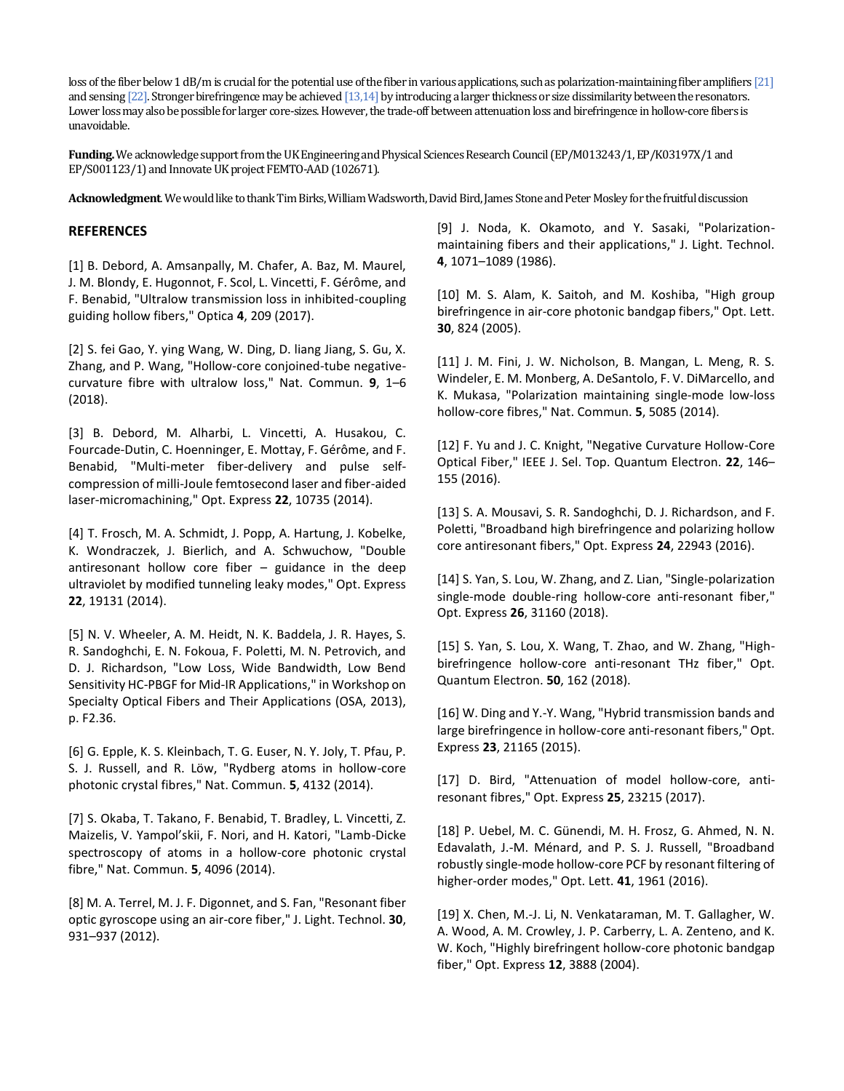loss of the fiber below 1 dB/m is crucial for the potential use of the fiber in various applications, such as polarization-maintaining fiber amplifiers [21] and sensing [22]. Stronger birefringence may be achieved [13,14] by introducing a larger thickness or size dissimilarity between the resonators. Lower loss may also be possible for larger core-sizes. However, the trade-off between attenuation loss and birefringence in hollow-core fibers is unavoidable.

**Funding.** We acknowledge support from the UK Engineering and Physical Sciences Research Council (EP/M013243/1, EP/K03197X/1 and EP/S001123/1) and Innovate UK project FEMTO-AAD (102671).

**Acknowledgment**. We would like to thank Tim Birks, William Wadsworth, David Bird, James Stone and Peter Mosley for the fruitful discussion

## **REFERENCES**

[1] B. Debord, A. Amsanpally, M. Chafer, A. Baz, M. Maurel, J. M. Blondy, E. Hugonnot, F. Scol, L. Vincetti, F. Gérôme, and F. Benabid, "Ultralow transmission loss in inhibited-coupling guiding hollow fibers," Optica **4**, 209 (2017).

[2] S. fei Gao, Y. ying Wang, W. Ding, D. liang Jiang, S. Gu, X. Zhang, and P. Wang, "Hollow-core conjoined-tube negativecurvature fibre with ultralow loss," Nat. Commun. **9**, 1–6 (2018).

[3] B. Debord, M. Alharbi, L. Vincetti, A. Husakou, C. Fourcade-Dutin, C. Hoenninger, E. Mottay, F. Gérôme, and F. Benabid, "Multi-meter fiber-delivery and pulse selfcompression of milli-Joule femtosecond laser and fiber-aided laser-micromachining," Opt. Express **22**, 10735 (2014).

[4] T. Frosch, M. A. Schmidt, J. Popp, A. Hartung, J. Kobelke, K. Wondraczek, J. Bierlich, and A. Schwuchow, "Double antiresonant hollow core fiber – guidance in the deep ultraviolet by modified tunneling leaky modes," Opt. Express **22**, 19131 (2014).

[5] N. V. Wheeler, A. M. Heidt, N. K. Baddela, J. R. Hayes, S. R. Sandoghchi, E. N. Fokoua, F. Poletti, M. N. Petrovich, and D. J. Richardson, "Low Loss, Wide Bandwidth, Low Bend Sensitivity HC-PBGF for Mid-IR Applications," in Workshop on Specialty Optical Fibers and Their Applications (OSA, 2013), p. F2.36.

[6] G. Epple, K. S. Kleinbach, T. G. Euser, N. Y. Joly, T. Pfau, P. S. J. Russell, and R. Löw, "Rydberg atoms in hollow-core photonic crystal fibres," Nat. Commun. **5**, 4132 (2014).

[7] S. Okaba, T. Takano, F. Benabid, T. Bradley, L. Vincetti, Z. Maizelis, V. Yampol'skii, F. Nori, and H. Katori, "Lamb-Dicke spectroscopy of atoms in a hollow-core photonic crystal fibre," Nat. Commun. **5**, 4096 (2014).

[8] M. A. Terrel, M. J. F. Digonnet, and S. Fan, "Resonant fiber optic gyroscope using an air-core fiber," J. Light. Technol. **30**, 931–937 (2012).

[9] J. Noda, K. Okamoto, and Y. Sasaki, "Polarizationmaintaining fibers and their applications," J. Light. Technol. **4**, 1071–1089 (1986).

[10] M. S. Alam, K. Saitoh, and M. Koshiba, "High group birefringence in air-core photonic bandgap fibers," Opt. Lett. **30**, 824 (2005).

[11] J. M. Fini, J. W. Nicholson, B. Mangan, L. Meng, R. S. Windeler, E. M. Monberg, A. DeSantolo, F. V. DiMarcello, and K. Mukasa, "Polarization maintaining single-mode low-loss hollow-core fibres," Nat. Commun. **5**, 5085 (2014).

[12] F. Yu and J. C. Knight, "Negative Curvature Hollow-Core Optical Fiber," IEEE J. Sel. Top. Quantum Electron. **22**, 146– 155 (2016).

[13] S. A. Mousavi, S. R. Sandoghchi, D. J. Richardson, and F. Poletti, "Broadband high birefringence and polarizing hollow core antiresonant fibers," Opt. Express **24**, 22943 (2016).

[14] S. Yan, S. Lou, W. Zhang, and Z. Lian, "Single-polarization single-mode double-ring hollow-core anti-resonant fiber," Opt. Express **26**, 31160 (2018).

[15] S. Yan, S. Lou, X. Wang, T. Zhao, and W. Zhang, "Highbirefringence hollow-core anti-resonant THz fiber," Opt. Quantum Electron. **50**, 162 (2018).

[16] W. Ding and Y.-Y. Wang, "Hybrid transmission bands and large birefringence in hollow-core anti-resonant fibers," Opt. Express **23**, 21165 (2015).

[17] D. Bird, "Attenuation of model hollow-core, antiresonant fibres," Opt. Express **25**, 23215 (2017).

[18] P. Uebel, M. C. Günendi, M. H. Frosz, G. Ahmed, N. N. Edavalath, J.-M. Ménard, and P. S. J. Russell, "Broadband robustly single-mode hollow-core PCF by resonant filtering of higher-order modes," Opt. Lett. **41**, 1961 (2016).

[19] X. Chen, M.-J. Li, N. Venkataraman, M. T. Gallagher, W. A. Wood, A. M. Crowley, J. P. Carberry, L. A. Zenteno, and K. W. Koch, "Highly birefringent hollow-core photonic bandgap fiber," Opt. Express **12**, 3888 (2004).